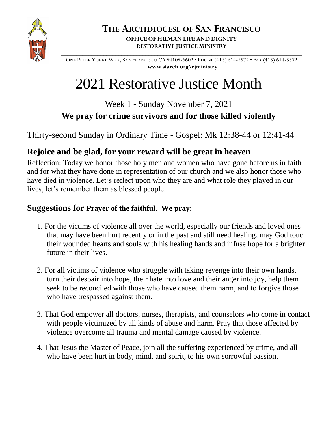

**\_\_\_\_\_\_\_\_\_\_\_\_\_\_\_\_\_\_\_\_\_\_\_\_\_\_\_\_\_\_\_\_\_\_\_\_\_\_\_\_\_\_\_\_\_\_\_\_\_\_\_\_\_\_\_\_\_\_\_\_\_\_\_\_\_\_\_\_\_\_\_\_\_\_\_\_\_\_\_\_** ONE PETER YORKE WAY, SAN FRANCISCO CA 94109-6602 • PHONE (415) 614-5572 • FAX (415) 614-5572 **[www.sfarch.org\rjministry](http://www.sfarch.org/rjministry)**

# 2021 Restorative Justice Month

Week 1 - Sunday November 7, 2021 **We pray for crime survivors and for those killed violently**

Thirty-second Sunday in Ordinary Time - Gospel: Mk 12:38-44 or 12:41-44

# **Rejoice and be glad, for your reward will be great in heaven**

Reflection: Today we honor those holy men and women who have gone before us in faith and for what they have done in representation of our church and we also honor those who have died in violence. Let's reflect upon who they are and what role they played in our lives, let's remember them as blessed people.

# **Suggestions for Prayer of the faithful. We pray:**

- 1. For the victims of violence all over the world, especially our friends and loved ones that may have been hurt recently or in the past and still need healing, may God touch their wounded hearts and souls with his healing hands and infuse hope for a brighter future in their lives.
- 2. For all victims of violence who struggle with taking revenge into their own hands, turn their despair into hope, their hate into love and their anger into joy, help them seek to be reconciled with those who have caused them harm, and to forgive those who have trespassed against them.
- 3. That God empower all doctors, nurses, therapists, and counselors who come in contact with people victimized by all kinds of abuse and harm. Pray that those affected by violence overcome all trauma and mental damage caused by violence.
- 4. That Jesus the Master of Peace, join all the suffering experienced by crime, and all who have been hurt in body, mind, and spirit, to his own sorrowful passion.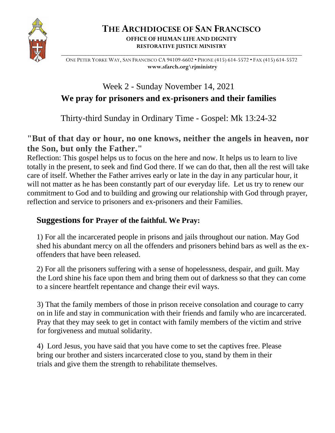

#### **THE ARCHDIOCESE OF SAN FRANCISCO OFFICE OF HUMAN LIFE AND DIGNITY RESTORATIVE JUSTICE MINISTRY**

**\_\_\_\_\_\_\_\_\_\_\_\_\_\_\_\_\_\_\_\_\_\_\_\_\_\_\_\_\_\_\_\_\_\_\_\_\_\_\_\_\_\_\_\_\_\_\_\_\_\_\_\_\_\_\_\_\_\_\_\_\_\_\_\_\_\_\_\_\_\_\_\_\_\_\_\_\_\_\_\_** ONE PETER YORKE WAY, SAN FRANCISCO CA 94109-6602 • PHONE (415) 614-5572 • FAX (415) 614-5572 **[www.sfarch.org\rjministry](http://www.sfarch.org/rjministry)**

# Week 2 - Sunday November 14, 2021 **We pray for prisoners and ex-prisoners and their families**

Thirty-third Sunday in Ordinary Time - Gospel: Mk 13:24-32

### **"But of that day or hour, no one knows, neither the angels in heaven, nor the Son, but only the Father."**

Reflection: This gospel helps us to focus on the here and now. It helps us to learn to live totally in the present, to seek and find God there. If we can do that, then all the rest will take care of itself. Whether the Father arrives early or late in the day in any particular hour, it will not matter as he has been constantly part of our everyday life. Let us try to renew our commitment to God and to building and growing our relationship with God through prayer, reflection and service to prisoners and ex-prisoners and their Families.

## **Suggestions for Prayer of the faithful. We Pray:**

1) For all the incarcerated people in prisons and jails throughout our nation. May God shed his abundant mercy on all the offenders and prisoners behind bars as well as the exoffenders that have been released.

2) For all the prisoners suffering with a sense of hopelessness, despair, and guilt. May the Lord shine his face upon them and bring them out of darkness so that they can come to a sincere heartfelt repentance and change their evil ways.

3) That the family members of those in prison receive consolation and courage to carry on in life and stay in communication with their friends and family who are incarcerated. Pray that they may seek to get in contact with family members of the victim and strive for forgiveness and mutual solidarity.

4) Lord Jesus, you have said that you have come to set the captives free. Please bring our brother and sisters incarcerated close to you, stand by them in their trials and give them the strength to rehabilitate themselves.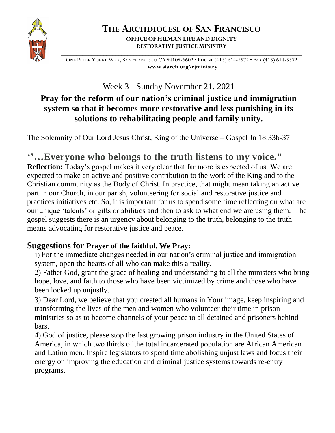

#### **THE ARCHDIOCESE OF SAN FRANCISCO OFFICE OF HUMAN LIFE AND DIGNITY RESTORATIVE JUSTICE MINISTRY**

**\_\_\_\_\_\_\_\_\_\_\_\_\_\_\_\_\_\_\_\_\_\_\_\_\_\_\_\_\_\_\_\_\_\_\_\_\_\_\_\_\_\_\_\_\_\_\_\_\_\_\_\_\_\_\_\_\_\_\_\_\_\_\_\_\_\_\_\_\_\_\_\_\_\_\_\_\_\_\_\_** ONE PETER YORKE WAY, SAN FRANCISCO CA 94109-6602 • PHONE (415) 614-5572 • FAX (415) 614-5572 **[www.sfarch.org\rjministry](http://www.sfarch.org/rjministry)**

Week 3 - Sunday November 21, 2021

# **Pray for the reform of our nation's criminal justice and immigration system so that it becomes more restorative and less punishing in its solutions to rehabilitating people and family unity.**

The Solemnity of Our Lord Jesus Christ, King of the Universe – Gospel Jn 18:33b-37

# **''…Everyone who belongs to the truth listens to my voice."**

**Reflection:** Today's gospel makes it very clear that far more is expected of us. We are expected to make an active and positive contribution to the work of the King and to the Christian community as the Body of Christ. In practice, that might mean taking an active part in our Church, in our parish, volunteering for social and restorative justice and practices initiatives etc. So, it is important for us to spend some time reflecting on what are our unique 'talents' or gifts or abilities and then to ask to what end we are using them. The gospel suggests there is an urgency about belonging to the truth, belonging to the truth means advocating for restorative justice and peace.

# **Suggestions for Prayer of the faithful. We Pray:**

1) For the immediate changes needed in our nation's criminal justice and immigration system, open the hearts of all who can make this a reality.

2) Father God, grant the grace of healing and understanding to all the ministers who bring hope, love, and faith to those who have been victimized by crime and those who have been locked up unjustly.

3) Dear Lord, we believe that you created all humans in Your image, keep inspiring and transforming the lives of the men and women who volunteer their time in prison ministries so as to become channels of your peace to all detained and prisoners behind bars.

4) God of justice, please stop the fast growing prison industry in the United States of America, in which two thirds of the total incarcerated population are African American and Latino men. Inspire legislators to spend time abolishing unjust laws and focus their energy on improving the education and criminal justice systems towards re-entry programs.